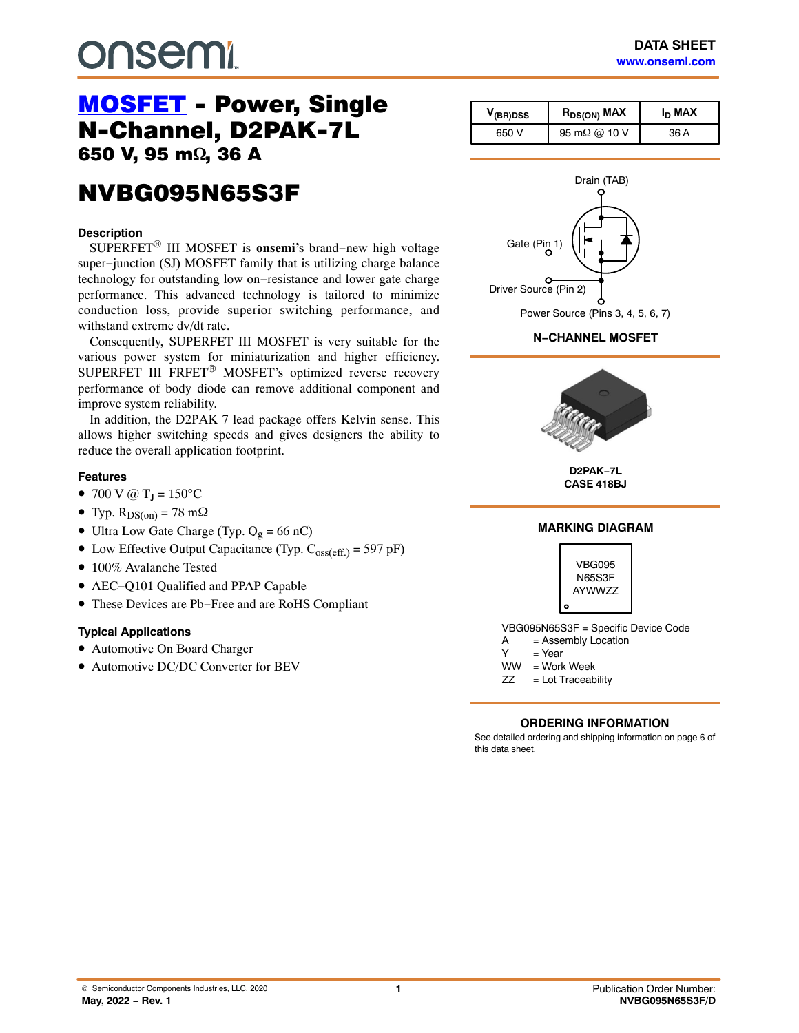# **DUSEMI**

## [MOSFET](https://www.onsemi.com/products/discretes-drivers/mosfets) - Power, Single<br>N-Channel, D2PAK-7L 650 V, 95 m $\Omega$ , 36 A ,  $\overline{\phantom{a}}$

### NVBG095N65S3F NVBG095N65S3F

#### **Description**

SUPERFET® III MOSFET is **onsemi'**s brand−new high voltage super−junction (SJ) MOSFET family that is utilizing charge balance technology for outstanding low on−resistance and lower gate charge performance. This advanced technology is tailored to minimize conduction loss, provide superior switching performance, and withstand extreme dv/dt rate.

Consequently, SUPERFET III MOSFET is very suitable for the various power system for miniaturization and higher efficiency. SUPERFET III FRFET® MOSFET's optimized reverse recovery performance of body diode can remove additional component and improve system reliability.

In addition, the D2PAK 7 lead package offers Kelvin sense. This allows higher switching speeds and gives designers the ability to reduce the overall application footprint.

#### **Features**

- 700 V @  $T_J = 150^{\circ}C$
- Typ.  $R_{DS(on)} = 78$  m $\Omega$
- Ultra Low Gate Charge (Typ.  $Q_g = 66$  nC)
- Low Effective Output Capacitance (Typ.  $C_{\text{oss}(eff.)} = 597 \text{ pF}$ )
- 100% Avalanche Tested
- AEC−Q101 Qualified and PPAP Capable
- These Devices are Pb−Free and are RoHS Compliant

#### **Typical Applications**

- Automotive On Board Charger
- Automotive DC/DC Converter for BEV

| V <sub>(BR)DSS</sub> | $R_{DS(ON)}$ MAX     | I <sub>D</sub> MAX |
|----------------------|----------------------|--------------------|
| 650 V                | 95 m $\Omega$ @ 10 V | 36 A               |



**N−CHANNEL MOSFET**



**D2PAK−7L CASE 418BJ**



#### **ORDERING INFORMATION**

See detailed ordering and shipping information on page [6](#page-5-0) of this data sheet.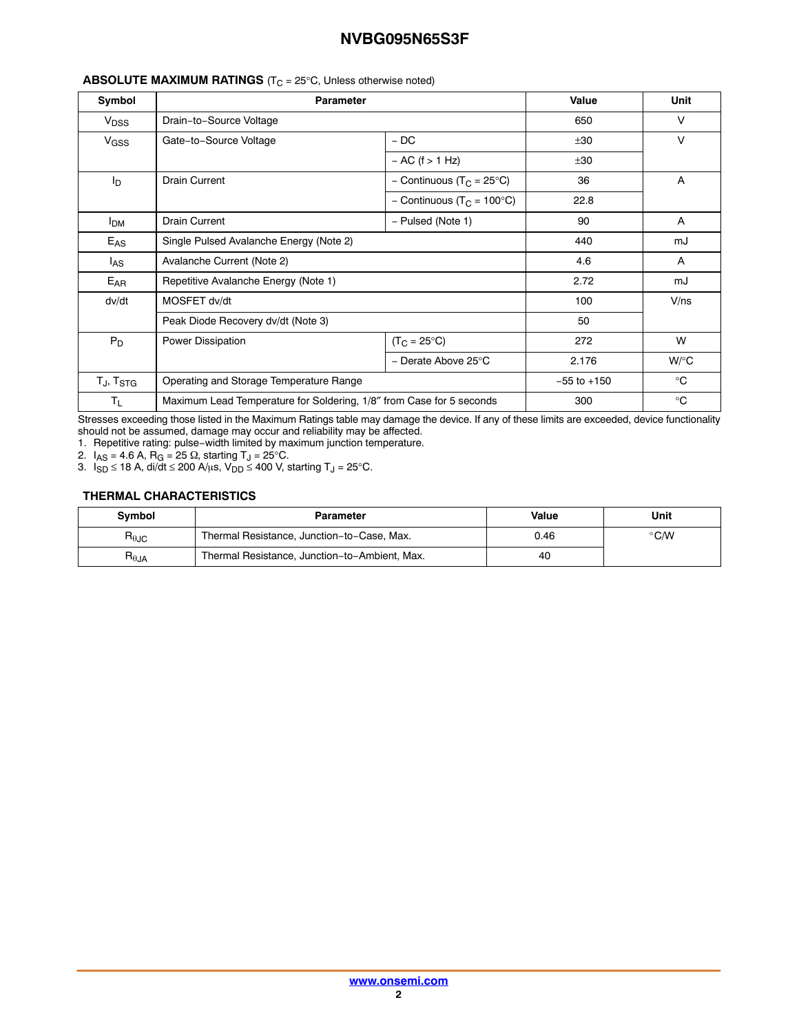| Symbol                 | <b>Parameter</b>                                                     |                                        | Value           | Unit         |
|------------------------|----------------------------------------------------------------------|----------------------------------------|-----------------|--------------|
| V <sub>DSS</sub>       | Drain-to-Source Voltage                                              |                                        | 650             | V            |
| V <sub>GSS</sub>       | Gate-to-Source Voltage                                               | $-DC$                                  | ±30             | V            |
|                        |                                                                      | $- AC$ (f $> 1 Hz$ )                   | ±30             |              |
| l <sub>D</sub>         | <b>Drain Current</b>                                                 | - Continuous (T <sub>C</sub> = 25°C)   | 36              | $\mathsf{A}$ |
|                        |                                                                      | - Continuous (T <sub>C</sub> = 100°C)  | 22.8            |              |
| <b>I</b> <sub>DM</sub> | <b>Drain Current</b>                                                 | - Pulsed (Note 1)                      | 90              | A            |
| $E_{AS}$               | Single Pulsed Avalanche Energy (Note 2)                              |                                        | 440             | mJ           |
| $I_{AS}$               | Avalanche Current (Note 2)                                           |                                        | 4.6             | A            |
| $E_{AR}$               | Repetitive Avalanche Energy (Note 1)                                 |                                        | 2.72            | mJ           |
| dv/dt                  | MOSFET dv/dt                                                         |                                        | 100             | V/ns         |
|                        | Peak Diode Recovery dv/dt (Note 3)                                   |                                        | 50              |              |
| $P_D$                  | Power Dissipation                                                    | $(T_C = 25^{\circ}C)$                  | 272             | W            |
|                        |                                                                      | - Derate Above 25 $\mathrm{^{\circ}C}$ | 2.176           | $W$ /°C      |
| $T_J$ , $T_{\rm STG}$  | Operating and Storage Temperature Range                              |                                        | $-55$ to $+150$ | $^{\circ}C$  |
| $T_{L}$                | Maximum Lead Temperature for Soldering, 1/8" from Case for 5 seconds |                                        | 300             | $^{\circ}C$  |

#### **ABSOLUTE MAXIMUM RATINGS**  $(T<sub>C</sub> = 25<sup>°</sup>C,$  Unless otherwise noted)

Stresses exceeding those listed in the Maximum Ratings table may damage the device. If any of these limits are exceeded, device functionality should not be assumed, damage may occur and reliability may be affected.

1. Repetitive rating: pulse−width limited by maximum junction temperature.

2.  $I_{AS}$  = 4.6 A, R<sub>G</sub> = 25  $\Omega$ , starting T<sub>J</sub> = 25 $^{\circ}$ C.

3.  $I_{SD}$  ≤ 18 A, di/dt ≤ 200 A/ $\mu$ s, V $_{DD}$  ≤ 400 V, starting T $_{\textrm{J}}$  = 25°C.

#### **THERMAL CHARACTERISTICS**

| Symbol                           | Parameter                                     | Value | Unit          |
|----------------------------------|-----------------------------------------------|-------|---------------|
| $R_{\theta \text{JC}}$           | Thermal Resistance, Junction-to-Case, Max.    | 0.46  | $\degree$ C/W |
| $\mathsf{R}_{\theta\mathsf{JA}}$ | Thermal Resistance, Junction-to-Ambient, Max. | 40    |               |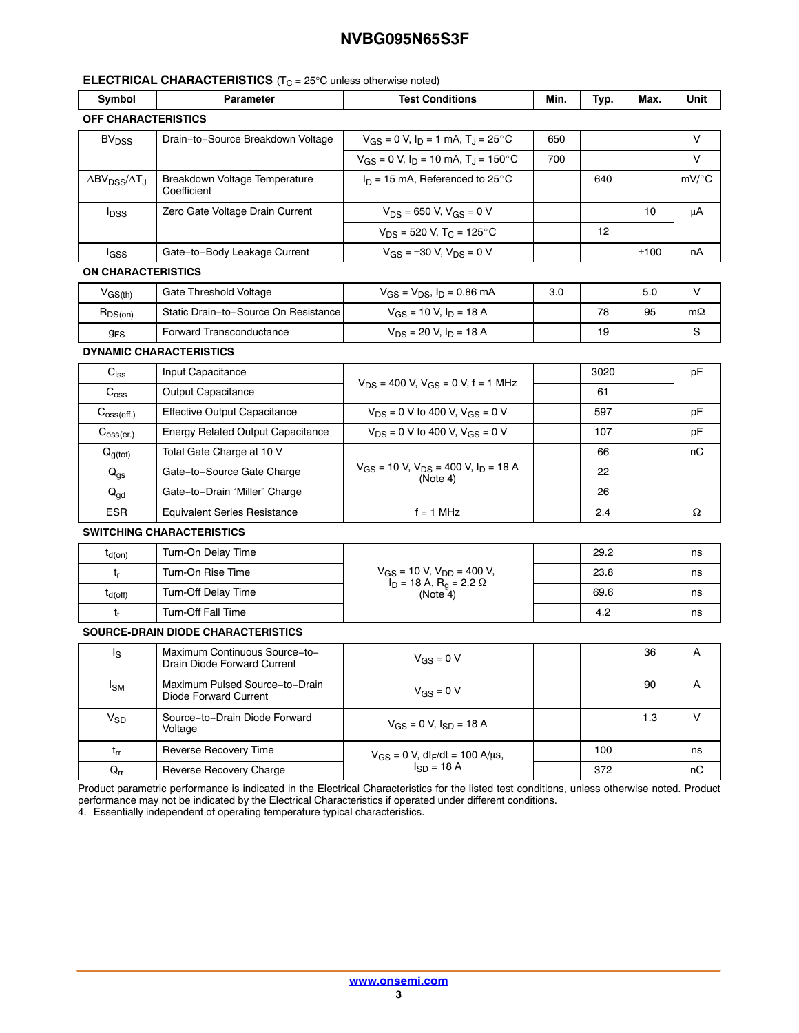#### **ELECTRICAL CHARACTERISTICS**  $(T_{C} = 25^{\circ}C$  unless otherwise noted)

| <b>Test Conditions</b><br><b>Parameter</b><br>Min. |                                                              |                                                             |     |      |      | Unit      |
|----------------------------------------------------|--------------------------------------------------------------|-------------------------------------------------------------|-----|------|------|-----------|
| Symbol                                             |                                                              |                                                             |     | Typ. | Max. |           |
| OFF CHARACTERISTICS                                |                                                              |                                                             |     |      |      |           |
| <b>BV<sub>DSS</sub></b>                            | Drain-to-Source Breakdown Voltage                            | $V_{GS} = 0$ V, $I_D = 1$ mA, $T_J = 25$ °C                 | 650 |      |      | V         |
|                                                    |                                                              | $V_{GS}$ = 0 V, $I_D$ = 10 mA, $T_J$ = 150°C                | 700 |      |      | V         |
| $\Delta BV_{DSS}/\Delta T_J$                       | Breakdown Voltage Temperature<br>Coefficient                 | $I_D = 15$ mA, Referenced to 25°C                           |     | 640  |      | $mV$ /°C  |
| $I_{\text{DSS}}$                                   | Zero Gate Voltage Drain Current                              | $V_{DS}$ = 650 V, V <sub>GS</sub> = 0 V                     |     |      | 10   | μA        |
|                                                    |                                                              | $V_{DS}$ = 520 V, T <sub>C</sub> = 125°C                    |     | 12   |      |           |
| lgss                                               | Gate-to-Body Leakage Current                                 | $V_{GS} = \pm 30$ V, $V_{DS} = 0$ V                         |     |      | ±100 | nA        |
| <b>ON CHARACTERISTICS</b>                          |                                                              |                                                             |     |      |      |           |
| $V_{GS(th)}$                                       | Gate Threshold Voltage                                       | $V_{GS} = V_{DS}$ , $I_D = 0.86$ mA                         | 3.0 |      | 5.0  | V         |
| $R_{DS(on)}$                                       | Static Drain-to-Source On Resistance                         | $V_{GS}$ = 10 V, $I_D$ = 18 A                               |     | 78   | 95   | $m\Omega$ |
| 9 <sub>FS</sub>                                    | <b>Forward Transconductance</b>                              | $V_{DS}$ = 20 V, $I_D$ = 18 A                               |     | 19   |      | S         |
|                                                    | <b>DYNAMIC CHARACTERISTICS</b>                               |                                                             |     |      |      |           |
| $\mathrm{C}_{\text{iss}}$                          | Input Capacitance                                            |                                                             |     | 3020 |      | рF        |
| $\mathrm{C}_{\mathrm{oss}}$                        | <b>Output Capacitance</b>                                    | $V_{DS}$ = 400 V, $V_{GS}$ = 0 V, f = 1 MHz                 |     | 61   |      |           |
| $C_{\text{oss}(eff.)}$                             | <b>Effective Output Capacitance</b>                          | $V_{DS}$ = 0 V to 400 V, $V_{GS}$ = 0 V                     |     | 597  |      | рF        |
| $C_{\text{oss}(er.)}$                              | <b>Energy Related Output Capacitance</b>                     | $V_{DS}$ = 0 V to 400 V, $V_{GS}$ = 0 V                     |     | 107  |      | pF        |
| $Q_{g(tot)}$                                       | Total Gate Charge at 10 V                                    |                                                             |     | 66   |      | nС        |
| $\mathbf{Q}_{\text{gs}}$                           | Gate-to-Source Gate Charge                                   | $V_{GS}$ = 10 V, $V_{DS}$ = 400 V, $I_D$ = 18 A<br>(Note 4) |     | 22   |      |           |
| $Q_{gd}$                                           | Gate-to-Drain "Miller" Charge                                |                                                             |     | 26   |      |           |
| ESR                                                | <b>Equivalent Series Resistance</b>                          | $f = 1$ MHz                                                 |     | 2.4  |      | Ω         |
|                                                    | <b>SWITCHING CHARACTERISTICS</b>                             |                                                             |     |      |      |           |
| $t_{d(on)}$                                        | Turn-On Delay Time                                           |                                                             |     | 29.2 |      | ns        |
| $t_{r}$                                            | Turn-On Rise Time                                            | $V_{GS}$ = 10 V, $V_{DD}$ = 400 V,                          |     | 23.8 |      | ns        |
| $t_{d(\text{off})}$                                | <b>Turn-Off Delay Time</b>                                   | $I_D$ = 18 A, $R_g$ = 2.2 $\Omega$<br>(Note 4)              |     | 69.6 |      | ns        |
| tŧ                                                 | <b>Turn-Off Fall Time</b>                                    |                                                             |     | 4.2  |      | ns        |
|                                                    | SOURCE-DRAIN DIODE CHARACTERISTICS                           |                                                             |     |      |      |           |
| ls                                                 | Maximum Continuous Source-to-<br>Drain Diode Forward Current | $V_{GS} = 0 V$                                              |     |      | 36   | Α         |
| <sub>ISM</sub>                                     | Maximum Pulsed Source-to-Drain<br>Diode Forward Current      | $V_{GS} = 0 V$                                              |     |      | 90   | Α         |
| $V_{SD}$                                           | Source-to-Drain Diode Forward<br>Voltage                     | $V_{GS} = 0 V, I_{SD} = 18 A$                               |     |      | 1.3  | V         |
| $t_{rr}$                                           | Reverse Recovery Time                                        | $V_{GS} = 0$ V, dl <sub>F</sub> /dt = 100 A/µs,             |     | 100  |      | ns        |
| $Q_{rr}$                                           | Reverse Recovery Charge                                      | $I_{SD}$ = 18 A                                             |     | 372  |      | nC        |

Product parametric performance is indicated in the Electrical Characteristics for the listed test conditions, unless otherwise noted. Product performance may not be indicated by the Electrical Characteristics if operated under different conditions.

 $Q_{rr}$  Reverse Recovery Charge  $\left| \begin{array}{ccc} | & 18A & | & 372 \end{array} \right|$  nC

4. Essentially independent of operating temperature typical characteristics.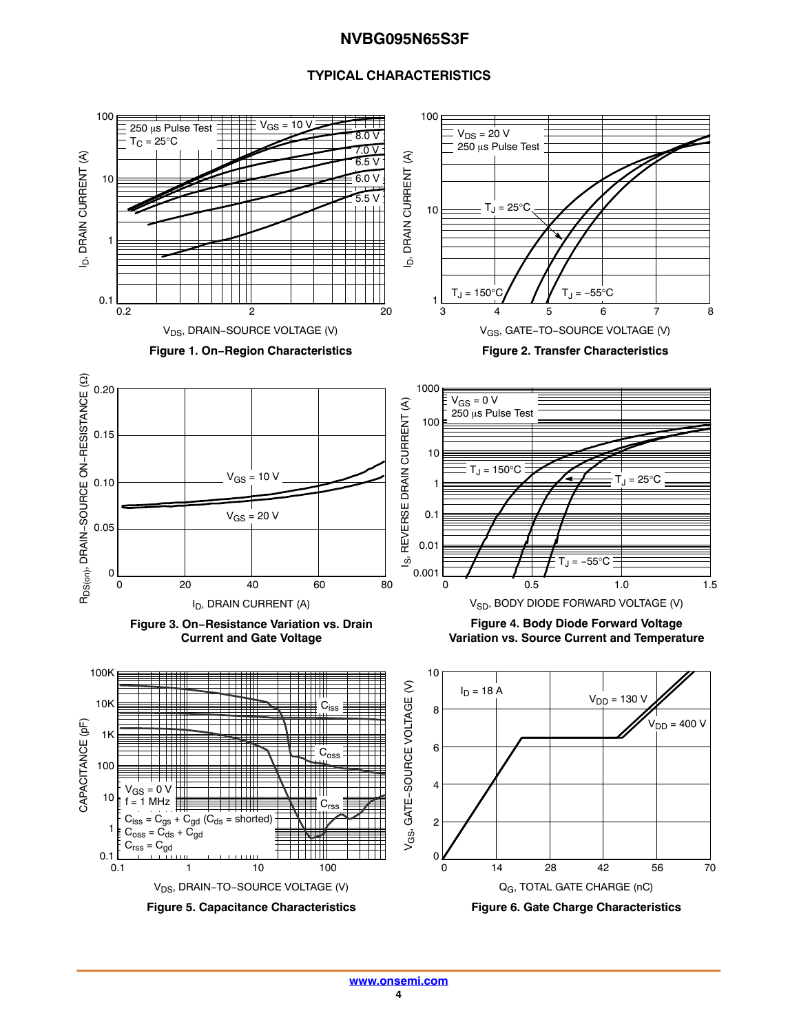#### **TYPICAL CHARACTERISTICS**

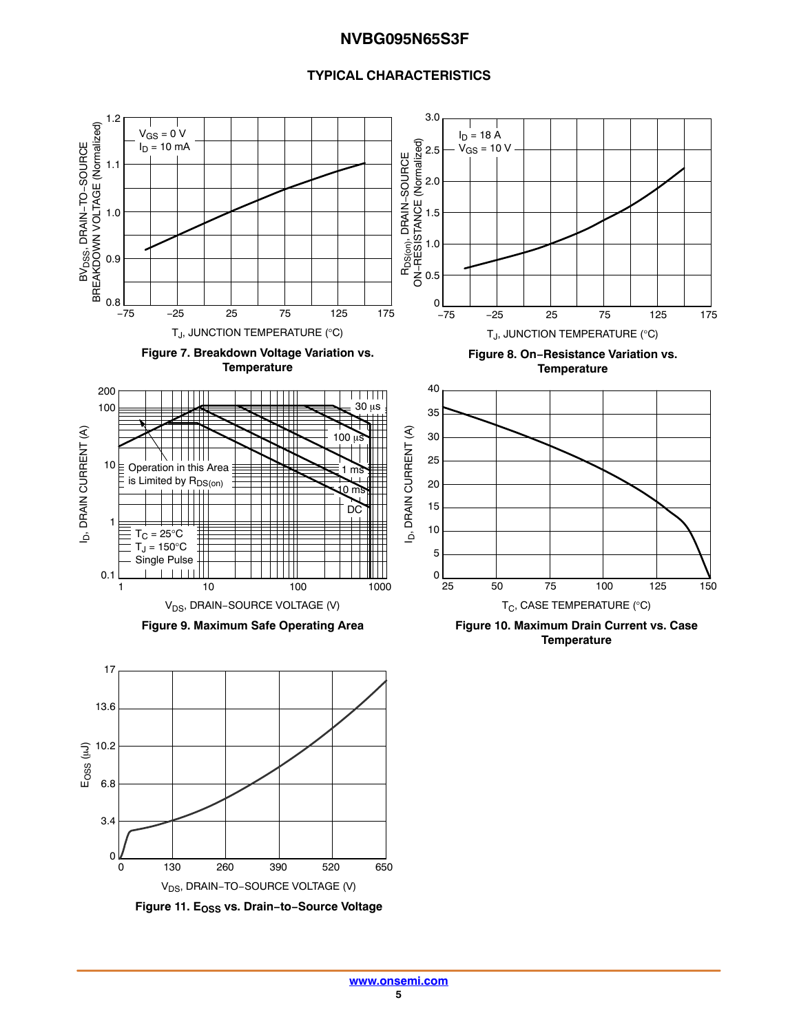#### **TYPICAL CHARACTERISTICS**



**Figure 11. EOSS vs. Drain−to−Source Voltage**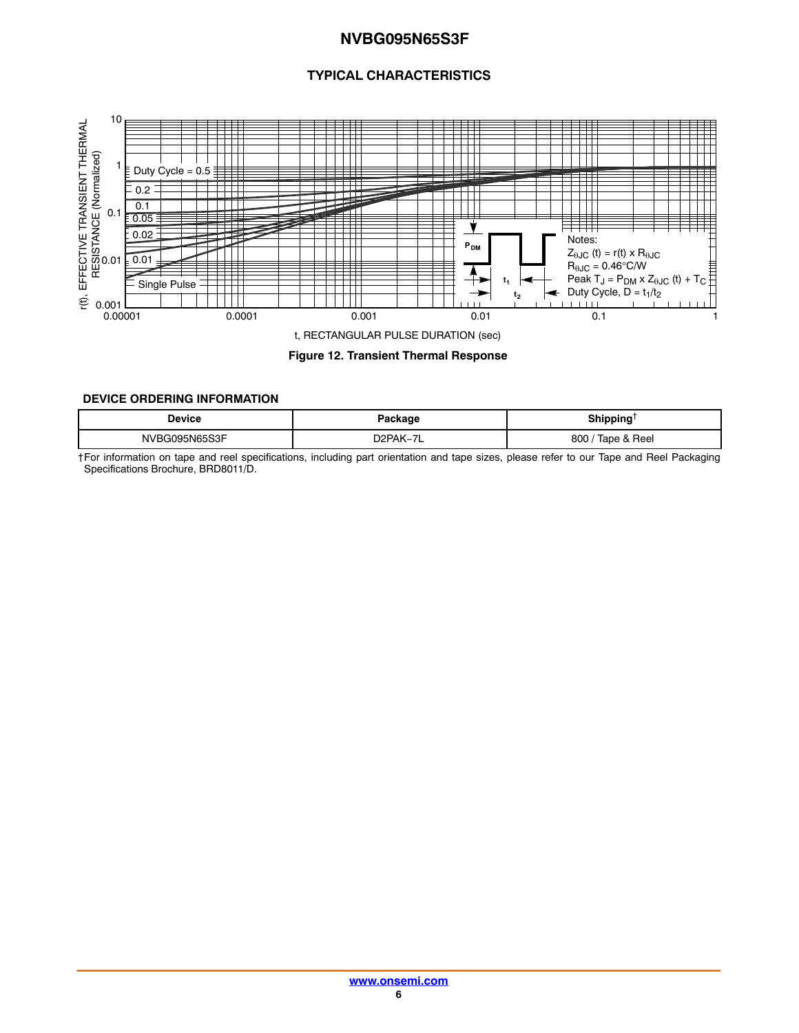#### **TYPICAL CHARACTERISTICS**

<span id="page-5-0"></span>

**Figure 12. Transient Thermal Response**

#### **DEVICE ORDERING INFORMATION**

| Device        | Package                  | <b>Shipping</b><br>. |
|---------------|--------------------------|----------------------|
| NVBG095N65S3F | D <sub>2</sub> PAK-<br>- | Tape & Reel<br>800   |

†For information on tape and reel specifications, including part orientation and tape sizes, please refer to our Tape and Reel Packaging Specifications Brochure, BRD8011/D.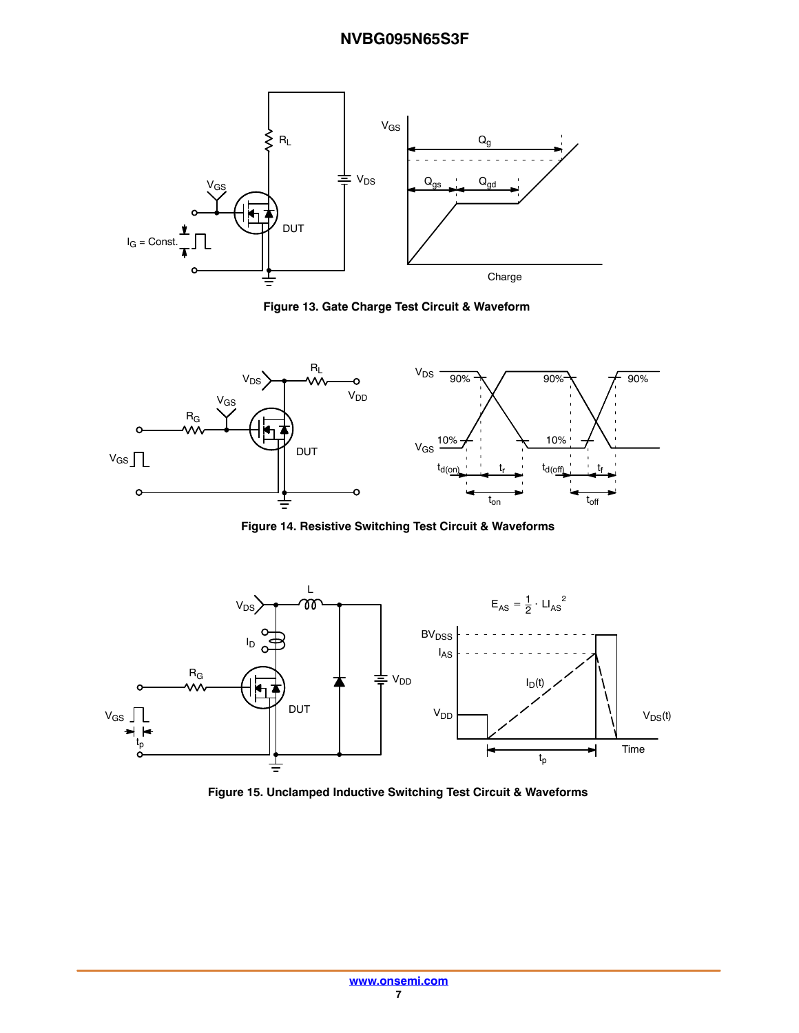

**Figure 13. Gate Charge Test Circuit & Waveform**



**Figure 14. Resistive Switching Test Circuit & Waveforms**



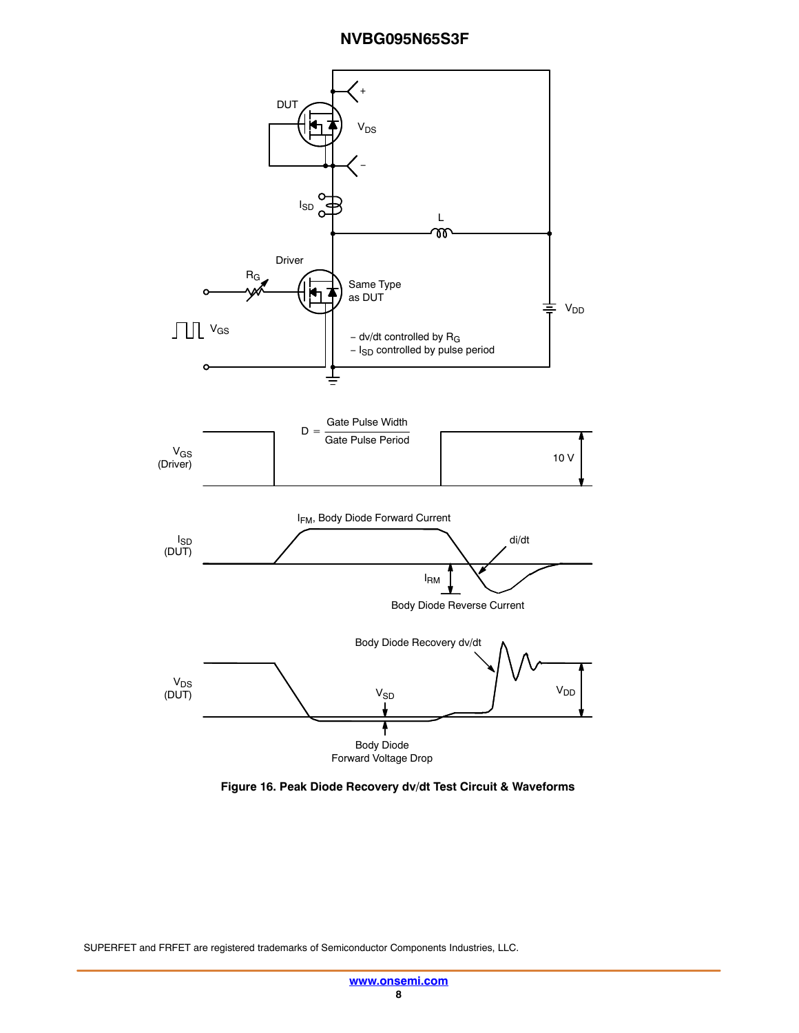

**Figure 16. Peak Diode Recovery dv/dt Test Circuit & Waveforms**

SUPERFET and FRFET are registered trademarks of Semiconductor Components Industries, LLC.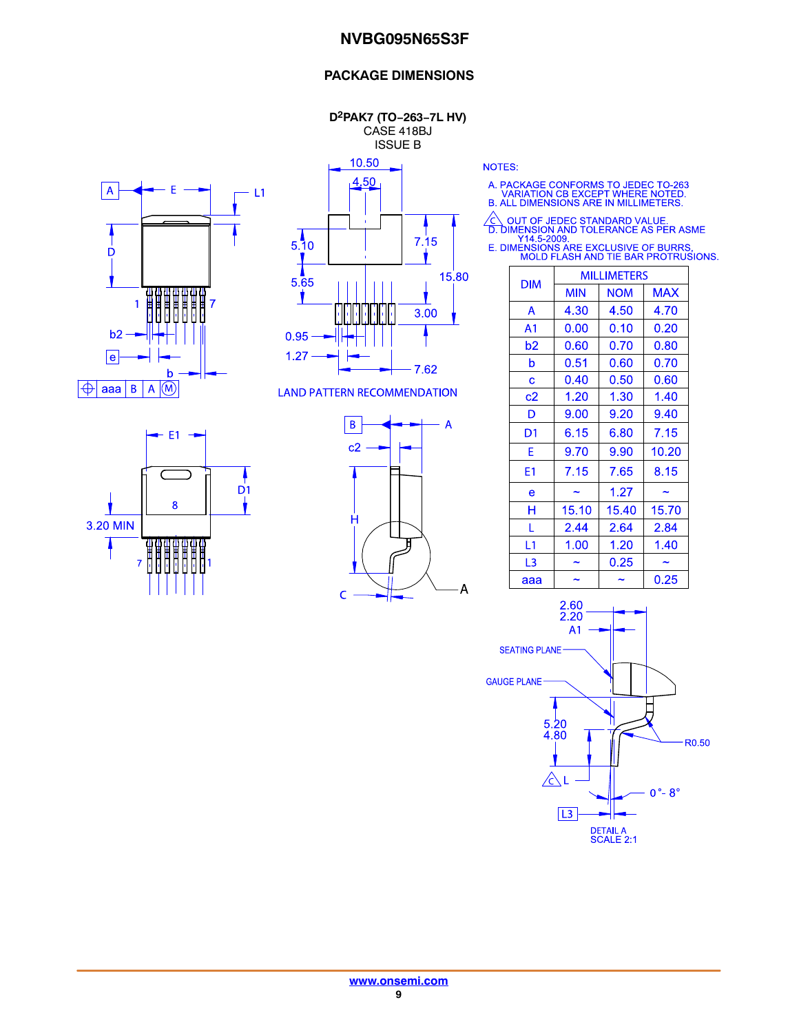#### **PACKAGE DIMENSIONS**

**D2PAK7 (TO−263−7L HV)** CASE 418BJ ISSUE B

10.50





**LAND PATTERN RECOMMENDATION** 

 $-E1 \overline{D}$ 1 8 3.20 MIN <del>gggggaa.</del><br>HHHHHHH  $\overline{7}$ 



**NOTES:** 

A. PACKAGE CONFORMS TO JEDEC TO-263<br>VARIATION CB EXCEPT WHERE NOTED.<br>B. ALL DIMENSIONS ARE IN MILLIMETERS.

△ OUT OF JEDEC STANDARD VALUE.<br>
D. DIMENSION AND TOLERANCE AS PER ASME<br>
Y14.5-2009.<br>
E. DIMENSIONS ARE EXCLUSIVE OF BURRS.<br>
MOLD FLASH AND TIE BAR PROTRUSIONS.

| <b>DIM</b>     | <b>MILLIMETERS</b> |            |            |  |
|----------------|--------------------|------------|------------|--|
|                | <b>MIN</b>         | <b>NOM</b> | <b>MAX</b> |  |
| A              | 4.30               | 4.50       | 4.70       |  |
| A <sub>1</sub> | 0.00               | 0.10       | 0.20       |  |
| b2             | 0.60               | 0.70       | 0.80       |  |
| b              | 0.51               | 0.60       | 0.70       |  |
| C              | 0.40               | 0.50       | 0.60       |  |
| c2             | 1.20               | 1.30       | 1.40       |  |
| D              | 9.00               | 9.20       | 9.40       |  |
| D1             | 6.15               | 6.80       | 7.15       |  |
| F              | 9.70               | 9.90       | 10.20      |  |
| E1             | 7.15               | 7.65       | 8.15       |  |
| e              |                    | 1.27       |            |  |
| н              | 15.10              | 15.40      | 15.70      |  |
| L              | 2.44               | 2.64       | 2.84       |  |
| L1             | 1.00               | 1.20       | 1.40       |  |
| L3             |                    | 0.25       |            |  |
| ааа            |                    |            | 0.25       |  |